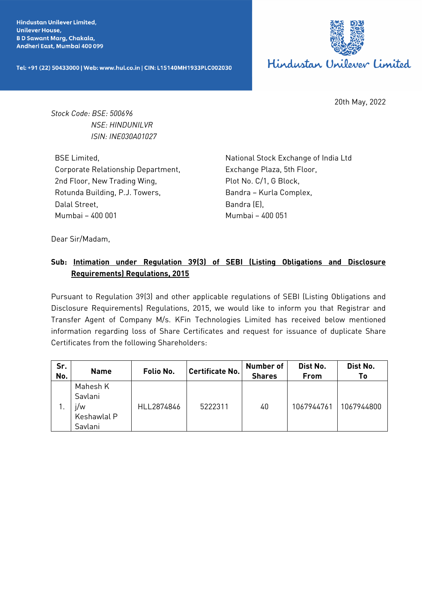**Hindustan Unilever Limited. Unilever House, BD Sawant Marg, Chakala,** Andheri East, Mumbai 400 099

Tel: +91 (22) 50433000 | Web: www.hul.co.in | CIN: L15140MH1933PLC002030



20th May, 2022

*Stock Code: BSE: 500696 NSE: HINDUNILVR ISIN: INE030A01027*

BSE Limited, Corporate Relationship Department, 2nd Floor, New Trading Wing, Rotunda Building, P.J. Towers, Dalal Street, Mumbai – 400 001

National Stock Exchange of India Ltd Exchange Plaza, 5th Floor, Plot No. C/1, G Block, Bandra – Kurla Complex, Bandra (E), Mumbai – 400 051

Dear Sir/Madam,

## **Sub: Intimation under Regulation 39(3) of SEBI (Listing Obligations and Disclosure Requirements) Regulations, 2015**

Pursuant to Regulation 39(3) and other applicable regulations of SEBI (Listing Obligations and Disclosure Requirements) Regulations, 2015, we would like to inform you that Registrar and Transfer Agent of Company M/s. KFin Technologies Limited has received below mentioned information regarding loss of Share Certificates and request for issuance of duplicate Share Certificates from the following Shareholders:

| Sr.<br>No. | <b>Name</b>                                          | Folio No.  | <b>Certificate No.</b> | <b>Number of</b><br><b>Shares</b> | Dist No.<br>From | Dist No.<br>Τo |
|------------|------------------------------------------------------|------------|------------------------|-----------------------------------|------------------|----------------|
|            | Mahesh K<br>Savlani<br>i/w<br>Keshawlal P<br>Savlani | HLL2874846 | 5222311                | 40                                | 1067944761       | 1067944800     |